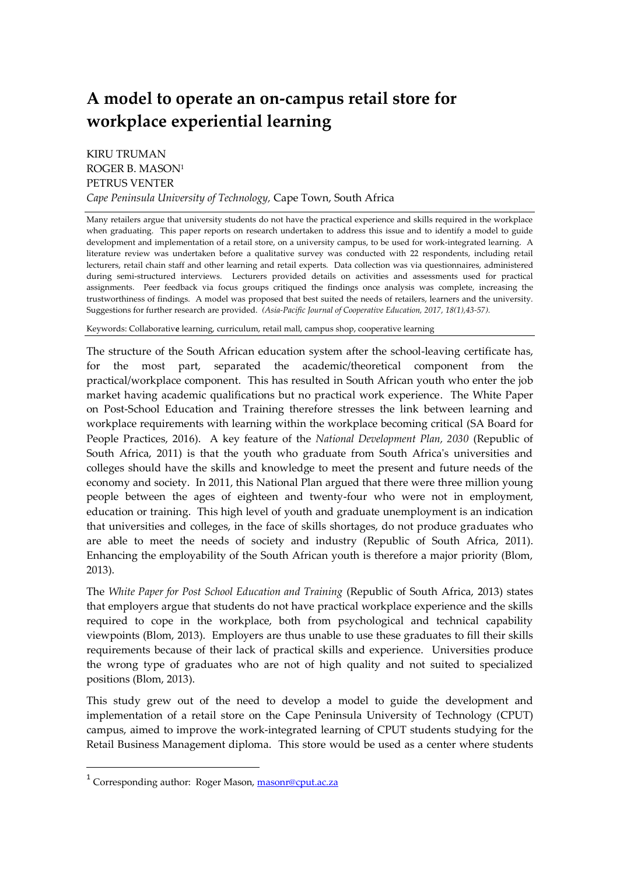## **A model to operate an on-campus retail store for workplace experiential learning**

KIRU TRUMAN ROGER B. MASON<sup>1</sup> PETRUS VENTER *Cape Peninsula University of Technology,* Cape Town, South Africa

Many retailers argue that university students do not have the practical experience and skills required in the workplace when graduating. This paper reports on research undertaken to address this issue and to identify a model to guide development and implementation of a retail store, on a university campus, to be used for work-integrated learning. A literature review was undertaken before a qualitative survey was conducted with 22 respondents, including retail lecturers, retail chain staff and other learning and retail experts. Data collection was via questionnaires, administered during semi-structured interviews. Lecturers provided details on activities and assessments used for practical assignments. Peer feedback via focus groups critiqued the findings once analysis was complete, increasing the trustworthiness of findings. A model was proposed that best suited the needs of retailers, learners and the university. Suggestions for further research are provided. *(Asia-Pacific Journal of Cooperative Education, 2017, 18(1),43-57).*

Keywords: Collaborativ**e** learning, curriculum, retail mall, campus shop, cooperative learning

The structure of the South African education system after the school-leaving certificate has, for the most part, separated the academic/theoretical component from the practical/workplace component. This has resulted in South African youth who enter the job market having academic qualifications but no practical work experience. The White Paper on Post-School Education and Training therefore stresses the link between learning and workplace requirements with learning within the workplace becoming critical (SA Board for People Practices, 2016). A key feature of the *National Development Plan, 2030* (Republic of South Africa, 2011) is that the youth who graduate from South Africa's universities and colleges should have the skills and knowledge to meet the present and future needs of the economy and society. In 2011, this National Plan argued that there were three million young people between the ages of eighteen and twenty-four who were not in employment, education or training. This high level of youth and graduate unemployment is an indication that universities and colleges, in the face of skills shortages, do not produce graduates who are able to meet the needs of society and industry (Republic of South Africa, 2011). Enhancing the employability of the South African youth is therefore a major priority (Blom, 2013).

The *White Paper for Post School Education and Training* (Republic of South Africa, 2013) states that employers argue that students do not have practical workplace experience and the skills required to cope in the workplace, both from psychological and technical capability viewpoints (Blom, 2013). Employers are thus unable to use these graduates to fill their skills requirements because of their lack of practical skills and experience. Universities produce the wrong type of graduates who are not of high quality and not suited to specialized positions (Blom, 2013).

This study grew out of the need to develop a model to guide the development and implementation of a retail store on the Cape Peninsula University of Technology (CPUT) campus, aimed to improve the work-integrated learning of CPUT students studying for the Retail Business Management diploma. This store would be used as a center where students

 $\overline{a}$ 

<sup>&</sup>lt;sup>1</sup> Corresponding author: Roger Mason[, masonr@cput.ac.za](mailto:MasonR@cput.ac.za)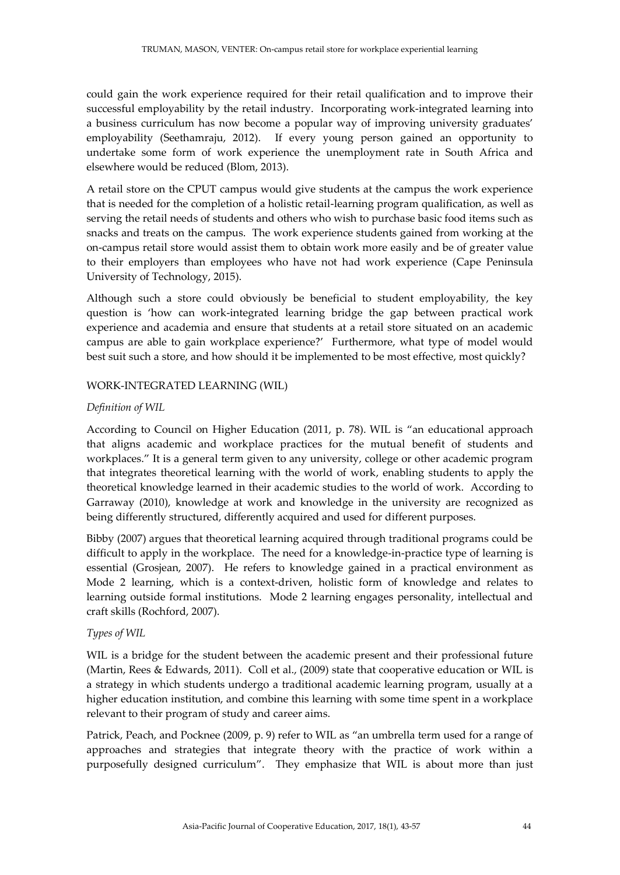could gain the work experience required for their retail qualification and to improve their successful employability by the retail industry. Incorporating work-integrated learning into a business curriculum has now become a popular way of improving university graduates' employability (Seethamraju, 2012). If every young person gained an opportunity to undertake some form of work experience the unemployment rate in South Africa and elsewhere would be reduced (Blom, 2013).

A retail store on the CPUT campus would give students at the campus the work experience that is needed for the completion of a holistic retail-learning program qualification, as well as serving the retail needs of students and others who wish to purchase basic food items such as snacks and treats on the campus. The work experience students gained from working at the on-campus retail store would assist them to obtain work more easily and be of greater value to their employers than employees who have not had work experience (Cape Peninsula University of Technology, 2015).

Although such a store could obviously be beneficial to student employability, the key question is 'how can work-integrated learning bridge the gap between practical work experience and academia and ensure that students at a retail store situated on an academic campus are able to gain workplace experience?' Furthermore, what type of model would best suit such a store, and how should it be implemented to be most effective, most quickly?

#### WORK-INTEGRATED LEARNING (WIL)

#### *Definition of WIL*

According to Council on Higher Education (2011, p. 78). WIL is "an educational approach that aligns academic and workplace practices for the mutual benefit of students and workplaces." It is a general term given to any university, college or other academic program that integrates theoretical learning with the world of work, enabling students to apply the theoretical knowledge learned in their academic studies to the world of work. According to Garraway (2010), knowledge at work and knowledge in the university are recognized as being differently structured, differently acquired and used for different purposes.

Bibby (2007) argues that theoretical learning acquired through traditional programs could be difficult to apply in the workplace. The need for a knowledge-in-practice type of learning is essential (Grosjean, 2007). He refers to knowledge gained in a practical environment as Mode 2 learning, which is a context-driven, holistic form of knowledge and relates to learning outside formal institutions. Mode 2 learning engages personality, intellectual and craft skills (Rochford, 2007).

#### *Types of WIL*

WIL is a bridge for the student between the academic present and their professional future (Martin, Rees & Edwards, 2011). Coll et al., (2009) state that cooperative education or WIL is a strategy in which students undergo a traditional academic learning program, usually at a higher education institution, and combine this learning with some time spent in a workplace relevant to their program of study and career aims.

Patrick, Peach, and Pocknee (2009, p. 9) refer to WIL as "an umbrella term used for a range of approaches and strategies that integrate theory with the practice of work within a purposefully designed curriculum". They emphasize that WIL is about more than just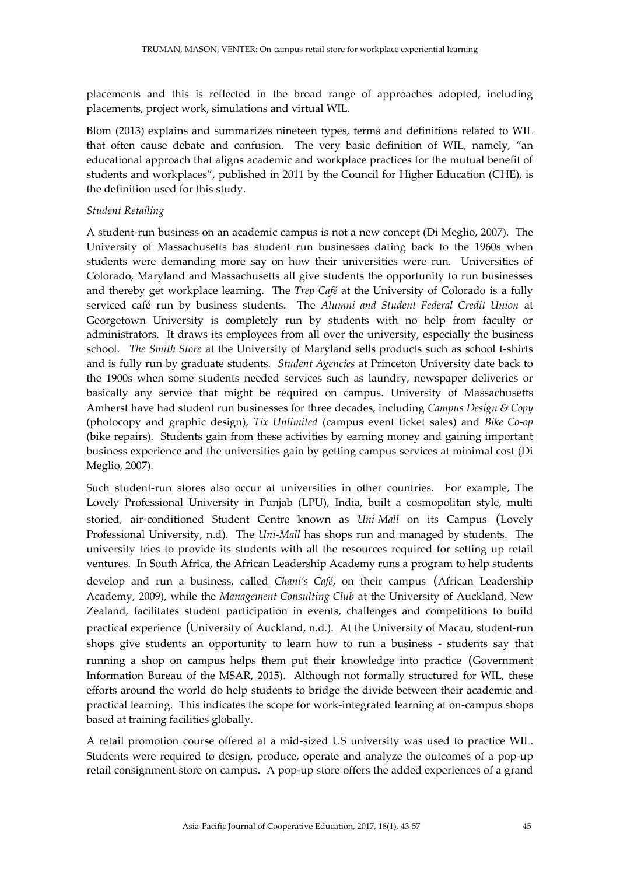placements and this is reflected in the broad range of approaches adopted, including placements, project work, simulations and virtual WIL.

Blom (2013) explains and summarizes nineteen types, terms and definitions related to WIL that often cause debate and confusion. The very basic definition of WIL, namely, "an educational approach that aligns academic and workplace practices for the mutual benefit of students and workplaces", published in 2011 by the Council for Higher Education (CHE), is the definition used for this study.

#### *Student Retailing*

A student-run business on an academic campus is not a new concept (Di Meglio, 2007). The University of Massachusetts has student run businesses dating back to the 1960s when students were demanding more say on how their universities were run. Universities of Colorado, Maryland and Massachusetts all give students the opportunity to run businesses and thereby get workplace learning. The *Trep Café* at the University of Colorado is a fully serviced café run by business students. The *Alumni and Student Federal Credit Union* at Georgetown University is completely run by students with no help from faculty or administrators. It draws its employees from all over the university, especially the business school. *The Smith Store* at the University of Maryland sells products such as school t-shirts and is fully run by graduate students. *Student Agencies* at Princeton University date back to the 1900s when some students needed services such as laundry, newspaper deliveries or basically any service that might be required on campus. University of Massachusetts Amherst have had student run businesses for three decades, including *Campus Design & Copy*  (photocopy and graphic design), *Tix Unlimited* (campus event ticket sales) and *Bike Co-op* (bike repairs). Students gain from these activities by earning money and gaining important business experience and the universities gain by getting campus services at minimal cost (Di Meglio, 2007).

Such student-run stores also occur at universities in other countries. For example, The Lovely Professional University in Punjab (LPU), India, built a cosmopolitan style, multi storied, air-conditioned Student Centre known as *Uni-Mall* on its Campus (Lovely Professional University, n.d). The *Uni-Mall* has shops run and managed by students. The university tries to provide its students with all the resources required for setting up retail ventures. In South Africa, the African Leadership Academy runs a program to help students develop and run a business, called *Chani's Café*, on their campus (African Leadership Academy, 2009), while the *Management Consulting Club* at the University of Auckland, New Zealand, facilitates student participation in events, challenges and competitions to build practical experience (University of Auckland, n.d.). At the University of Macau, student-run shops give students an opportunity to learn how to run a business - students say that running a shop on campus helps them put their knowledge into practice (Government Information Bureau of the MSAR, 2015). Although not formally structured for WIL, these efforts around the world do help students to bridge the divide between their academic and practical learning. This indicates the scope for work-integrated learning at on-campus shops based at training facilities globally.

A retail promotion course offered at a mid-sized US university was used to practice WIL. Students were required to design, produce, operate and analyze the outcomes of a pop-up retail consignment store on campus. A pop-up store offers the added experiences of a grand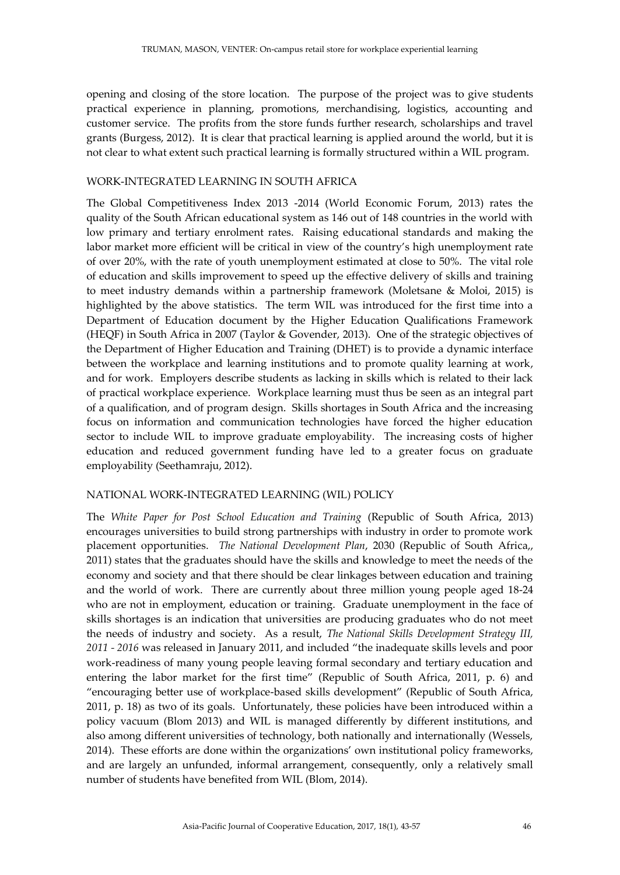opening and closing of the store location. The purpose of the project was to give students practical experience in planning, promotions, merchandising, logistics, accounting and customer service. The profits from the store funds further research, scholarships and travel grants (Burgess, 2012). It is clear that practical learning is applied around the world, but it is not clear to what extent such practical learning is formally structured within a WIL program.

#### WORK-INTEGRATED LEARNING IN SOUTH AFRICA

The Global Competitiveness Index 2013 -2014 (World Economic Forum, 2013) rates the quality of the South African educational system as 146 out of 148 countries in the world with low primary and tertiary enrolment rates. Raising educational standards and making the labor market more efficient will be critical in view of the country's high unemployment rate of over 20%, with the rate of youth unemployment estimated at close to 50%. The vital role of education and skills improvement to speed up the effective delivery of skills and training to meet industry demands within a partnership framework (Moletsane & Moloi, 2015) is highlighted by the above statistics. The term WIL was introduced for the first time into a Department of Education document by the Higher Education Qualifications Framework (HEQF) in South Africa in 2007 (Taylor & Govender, 2013). One of the strategic objectives of the Department of Higher Education and Training (DHET) is to provide a dynamic interface between the workplace and learning institutions and to promote quality learning at work, and for work. Employers describe students as lacking in skills which is related to their lack of practical workplace experience. Workplace learning must thus be seen as an integral part of a qualification, and of program design. Skills shortages in South Africa and the increasing focus on information and communication technologies have forced the higher education sector to include WIL to improve graduate employability. The increasing costs of higher education and reduced government funding have led to a greater focus on graduate employability (Seethamraju, 2012).

### NATIONAL WORK-INTEGRATED LEARNING (WIL) POLICY

The *White Paper for Post School Education and Training* (Republic of South Africa, 2013) encourages universities to build strong partnerships with industry in order to promote work placement opportunities. *The National Development Plan*, 2030 (Republic of South Africa,, 2011) states that the graduates should have the skills and knowledge to meet the needs of the economy and society and that there should be clear linkages between education and training and the world of work. There are currently about three million young people aged 18-24 who are not in employment, education or training. Graduate unemployment in the face of skills shortages is an indication that universities are producing graduates who do not meet the needs of industry and society. As a result, *The National Skills Development Strategy III, 2011 - 2016* was released in January 2011, and included "the inadequate skills levels and poor work-readiness of many young people leaving formal secondary and tertiary education and entering the labor market for the first time" (Republic of South Africa, 2011, p. 6) and "encouraging better use of workplace-based skills development" (Republic of South Africa, 2011, p. 18) as two of its goals. Unfortunately, these policies have been introduced within a policy vacuum (Blom 2013) and WIL is managed differently by different institutions, and also among different universities of technology, both nationally and internationally (Wessels, 2014). These efforts are done within the organizations' own institutional policy frameworks, and are largely an unfunded, informal arrangement, consequently, only a relatively small number of students have benefited from WIL (Blom, 2014).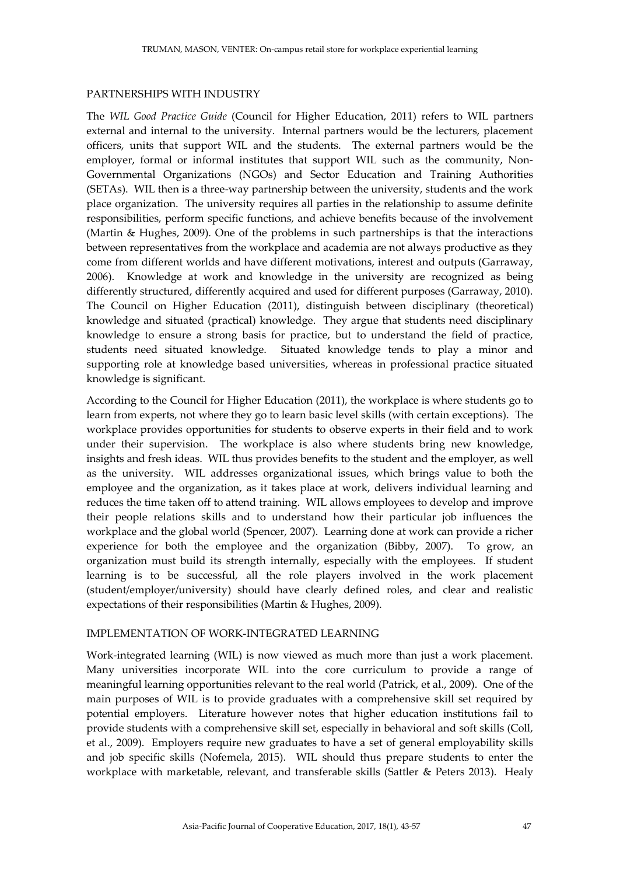#### PARTNERSHIPS WITH INDUSTRY

The *WIL Good Practice Guide* (Council for Higher Education, 2011) refers to WIL partners external and internal to the university. Internal partners would be the lecturers, placement officers, units that support WIL and the students. The external partners would be the employer, formal or informal institutes that support WIL such as the community, Non-Governmental Organizations (NGOs) and Sector Education and Training Authorities (SETAs). WIL then is a three-way partnership between the university, students and the work place organization. The university requires all parties in the relationship to assume definite responsibilities, perform specific functions, and achieve benefits because of the involvement (Martin & Hughes, 2009). One of the problems in such partnerships is that the interactions between representatives from the workplace and academia are not always productive as they come from different worlds and have different motivations, interest and outputs (Garraway, 2006). Knowledge at work and knowledge in the university are recognized as being differently structured, differently acquired and used for different purposes (Garraway, 2010). The Council on Higher Education (2011), distinguish between disciplinary (theoretical) knowledge and situated (practical) knowledge. They argue that students need disciplinary knowledge to ensure a strong basis for practice, but to understand the field of practice, students need situated knowledge. Situated knowledge tends to play a minor and supporting role at knowledge based universities, whereas in professional practice situated knowledge is significant.

According to the Council for Higher Education (2011), the workplace is where students go to learn from experts, not where they go to learn basic level skills (with certain exceptions). The workplace provides opportunities for students to observe experts in their field and to work under their supervision. The workplace is also where students bring new knowledge, insights and fresh ideas. WIL thus provides benefits to the student and the employer, as well as the university. WIL addresses organizational issues, which brings value to both the employee and the organization, as it takes place at work, delivers individual learning and reduces the time taken off to attend training. WIL allows employees to develop and improve their people relations skills and to understand how their particular job influences the workplace and the global world (Spencer, 2007). Learning done at work can provide a richer experience for both the employee and the organization (Bibby, 2007). To grow, an organization must build its strength internally, especially with the employees. If student learning is to be successful, all the role players involved in the work placement (student/employer/university) should have clearly defined roles, and clear and realistic expectations of their responsibilities (Martin & Hughes, 2009).

#### IMPLEMENTATION OF WORK-INTEGRATED LEARNING

Work-integrated learning (WIL) is now viewed as much more than just a work placement. Many universities incorporate WIL into the core curriculum to provide a range of meaningful learning opportunities relevant to the real world (Patrick, et al., 2009). One of the main purposes of WIL is to provide graduates with a comprehensive skill set required by potential employers. Literature however notes that higher education institutions fail to provide students with a comprehensive skill set, especially in behavioral and soft skills (Coll, et al., 2009). Employers require new graduates to have a set of general employability skills and job specific skills (Nofemela, 2015). WIL should thus prepare students to enter the workplace with marketable, relevant, and transferable skills (Sattler & Peters 2013). Healy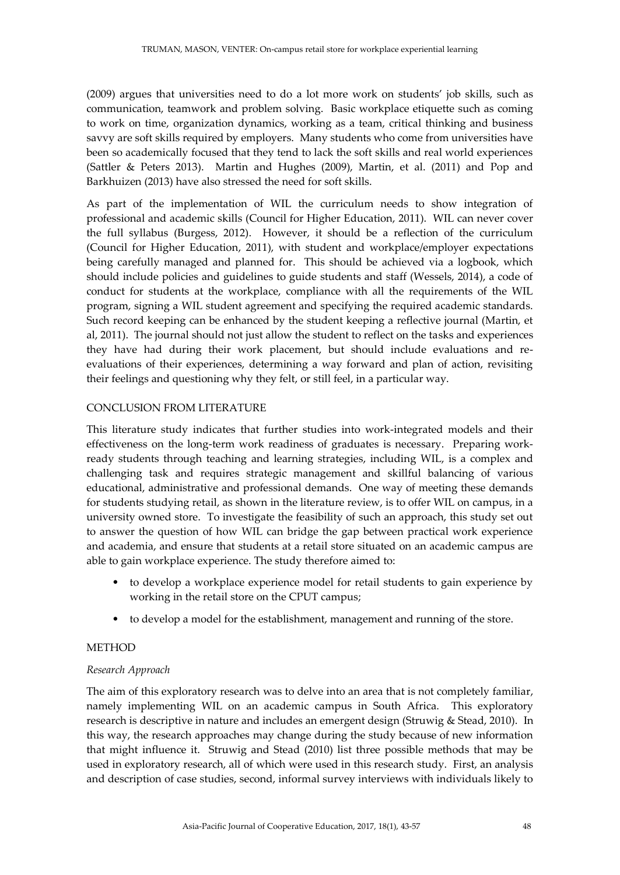(2009) argues that universities need to do a lot more work on students' job skills, such as communication, teamwork and problem solving. Basic workplace etiquette such as coming to work on time, organization dynamics, working as a team, critical thinking and business savvy are soft skills required by employers. Many students who come from universities have been so academically focused that they tend to lack the soft skills and real world experiences (Sattler & Peters 2013). Martin and Hughes (2009), Martin, et al. (2011) and Pop and Barkhuizen (2013) have also stressed the need for soft skills.

As part of the implementation of WIL the curriculum needs to show integration of professional and academic skills (Council for Higher Education, 2011). WIL can never cover the full syllabus (Burgess, 2012). However, it should be a reflection of the curriculum (Council for Higher Education, 2011), with student and workplace/employer expectations being carefully managed and planned for. This should be achieved via a logbook, which should include policies and guidelines to guide students and staff (Wessels, 2014), a code of conduct for students at the workplace, compliance with all the requirements of the WIL program, signing a WIL student agreement and specifying the required academic standards. Such record keeping can be enhanced by the student keeping a reflective journal (Martin, et al, 2011). The journal should not just allow the student to reflect on the tasks and experiences they have had during their work placement, but should include evaluations and reevaluations of their experiences, determining a way forward and plan of action, revisiting their feelings and questioning why they felt, or still feel, in a particular way.

#### CONCLUSION FROM LITERATURE

This literature study indicates that further studies into work-integrated models and their effectiveness on the long-term work readiness of graduates is necessary. Preparing workready students through teaching and learning strategies, including WIL, is a complex and challenging task and requires strategic management and skillful balancing of various educational, administrative and professional demands. One way of meeting these demands for students studying retail, as shown in the literature review, is to offer WIL on campus, in a university owned store. To investigate the feasibility of such an approach, this study set out to answer the question of how WIL can bridge the gap between practical work experience and academia, and ensure that students at a retail store situated on an academic campus are able to gain workplace experience. The study therefore aimed to:

- to develop a workplace experience model for retail students to gain experience by working in the retail store on the CPUT campus;
- to develop a model for the establishment, management and running of the store.

#### **METHOD**

#### *Research Approach*

The aim of this exploratory research was to delve into an area that is not completely familiar, namely implementing WIL on an academic campus in South Africa. This exploratory research is descriptive in nature and includes an emergent design (Struwig & Stead, 2010). In this way, the research approaches may change during the study because of new information that might influence it. Struwig and Stead (2010) list three possible methods that may be used in exploratory research, all of which were used in this research study. First, an analysis and description of case studies, second, informal survey interviews with individuals likely to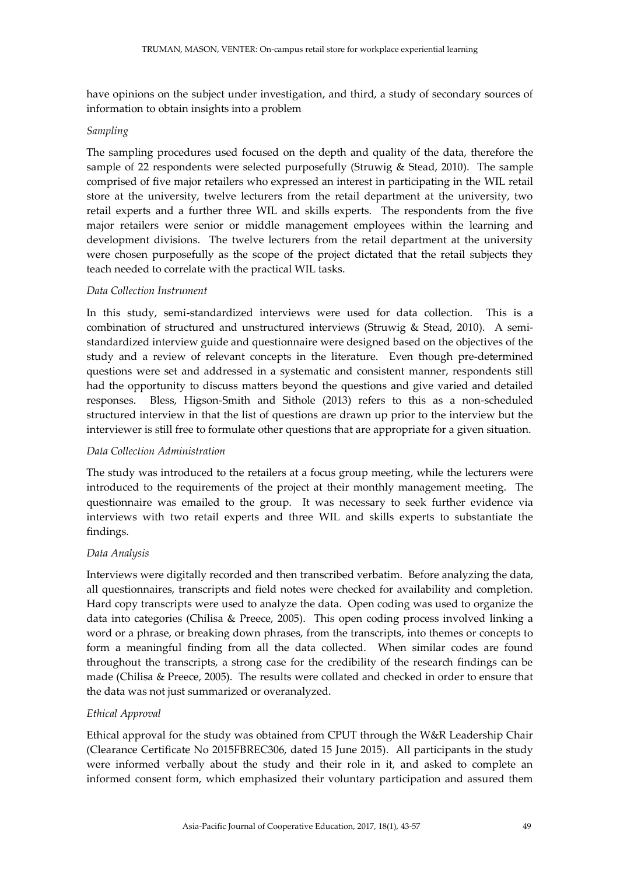have opinions on the subject under investigation, and third, a study of secondary sources of information to obtain insights into a problem

#### *Sampling*

The sampling procedures used focused on the depth and quality of the data, therefore the sample of 22 respondents were selected purposefully (Struwig & Stead, 2010). The sample comprised of five major retailers who expressed an interest in participating in the WIL retail store at the university, twelve lecturers from the retail department at the university, two retail experts and a further three WIL and skills experts. The respondents from the five major retailers were senior or middle management employees within the learning and development divisions. The twelve lecturers from the retail department at the university were chosen purposefully as the scope of the project dictated that the retail subjects they teach needed to correlate with the practical WIL tasks.

#### *Data Collection Instrument*

In this study, semi-standardized interviews were used for data collection. This is a combination of structured and unstructured interviews (Struwig & Stead, 2010). A semistandardized interview guide and questionnaire were designed based on the objectives of the study and a review of relevant concepts in the literature. Even though pre-determined questions were set and addressed in a systematic and consistent manner, respondents still had the opportunity to discuss matters beyond the questions and give varied and detailed responses. Bless, Higson-Smith and Sithole (2013) refers to this as a non-scheduled structured interview in that the list of questions are drawn up prior to the interview but the interviewer is still free to formulate other questions that are appropriate for a given situation.

#### *Data Collection Administration*

The study was introduced to the retailers at a focus group meeting, while the lecturers were introduced to the requirements of the project at their monthly management meeting. The questionnaire was emailed to the group. It was necessary to seek further evidence via interviews with two retail experts and three WIL and skills experts to substantiate the findings.

#### *Data Analysis*

Interviews were digitally recorded and then transcribed verbatim. Before analyzing the data, all questionnaires, transcripts and field notes were checked for availability and completion. Hard copy transcripts were used to analyze the data. Open coding was used to organize the data into categories (Chilisa & Preece, 2005). This open coding process involved linking a word or a phrase, or breaking down phrases, from the transcripts, into themes or concepts to form a meaningful finding from all the data collected. When similar codes are found throughout the transcripts, a strong case for the credibility of the research findings can be made (Chilisa & Preece, 2005). The results were collated and checked in order to ensure that the data was not just summarized or overanalyzed.

#### *Ethical Approval*

Ethical approval for the study was obtained from CPUT through the W&R Leadership Chair (Clearance Certificate No 2015FBREC306, dated 15 June 2015). All participants in the study were informed verbally about the study and their role in it, and asked to complete an informed consent form, which emphasized their voluntary participation and assured them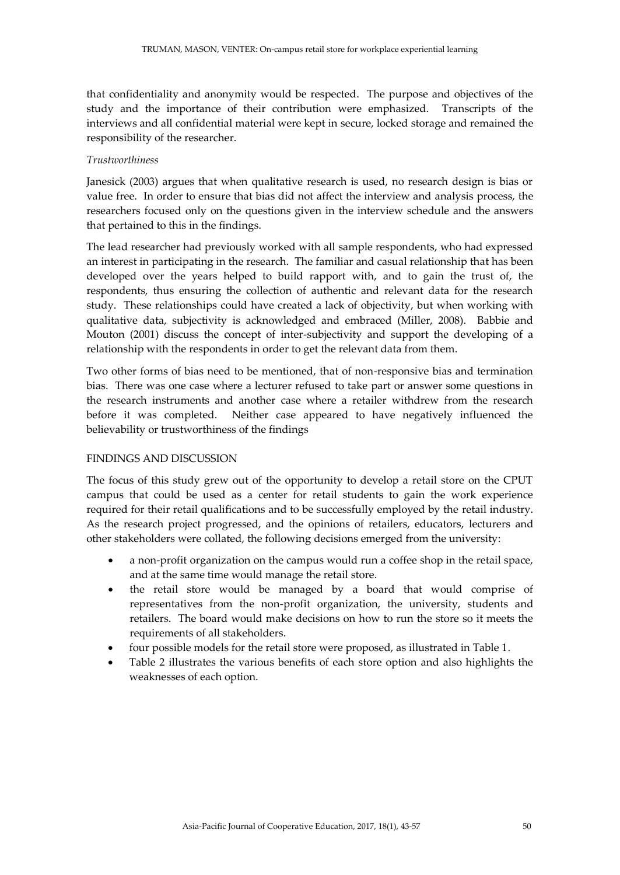that confidentiality and anonymity would be respected. The purpose and objectives of the study and the importance of their contribution were emphasized. Transcripts of the interviews and all confidential material were kept in secure, locked storage and remained the responsibility of the researcher.

#### *Trustworthiness*

Janesick (2003) argues that when qualitative research is used, no research design is bias or value free. In order to ensure that bias did not affect the interview and analysis process, the researchers focused only on the questions given in the interview schedule and the answers that pertained to this in the findings.

The lead researcher had previously worked with all sample respondents, who had expressed an interest in participating in the research. The familiar and casual relationship that has been developed over the years helped to build rapport with, and to gain the trust of, the respondents, thus ensuring the collection of authentic and relevant data for the research study. These relationships could have created a lack of objectivity, but when working with qualitative data, subjectivity is acknowledged and embraced (Miller, 2008). Babbie and Mouton (2001) discuss the concept of inter-subjectivity and support the developing of a relationship with the respondents in order to get the relevant data from them.

Two other forms of bias need to be mentioned, that of non-responsive bias and termination bias. There was one case where a lecturer refused to take part or answer some questions in the research instruments and another case where a retailer withdrew from the research before it was completed. Neither case appeared to have negatively influenced the believability or trustworthiness of the findings

#### FINDINGS AND DISCUSSION

The focus of this study grew out of the opportunity to develop a retail store on the CPUT campus that could be used as a center for retail students to gain the work experience required for their retail qualifications and to be successfully employed by the retail industry. As the research project progressed, and the opinions of retailers, educators, lecturers and other stakeholders were collated, the following decisions emerged from the university:

- a non-profit organization on the campus would run a coffee shop in the retail space, and at the same time would manage the retail store.
- the retail store would be managed by a board that would comprise of representatives from the non-profit organization, the university, students and retailers. The board would make decisions on how to run the store so it meets the requirements of all stakeholders.
- four possible models for the retail store were proposed, as illustrated in Table 1.
- Table 2 illustrates the various benefits of each store option and also highlights the weaknesses of each option.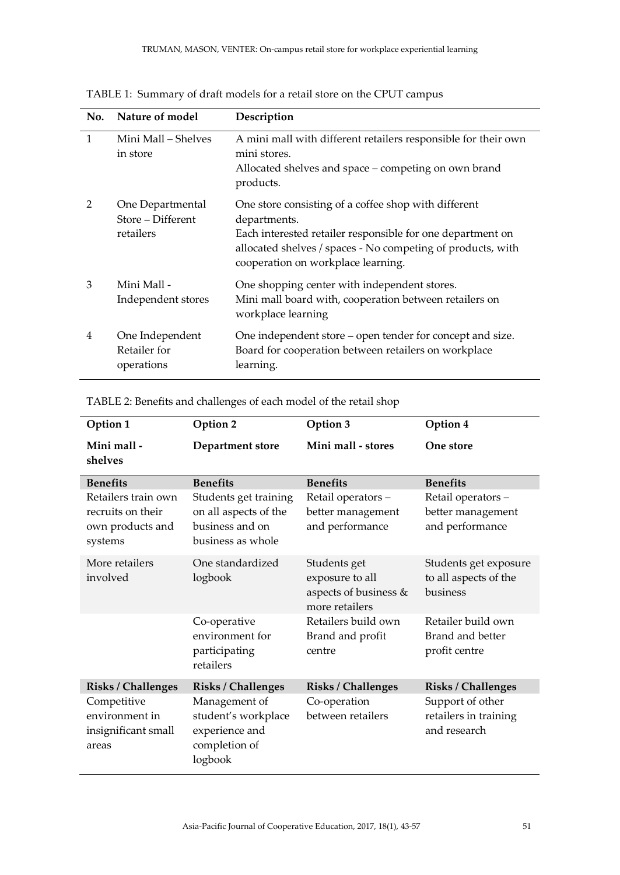| No.          | Nature of model                                    | Description                                                                                                                                                                                                                             |
|--------------|----------------------------------------------------|-----------------------------------------------------------------------------------------------------------------------------------------------------------------------------------------------------------------------------------------|
| $\mathbf{1}$ | Mini Mall - Shelves<br>in store                    | A mini mall with different retailers responsible for their own<br>mini stores.<br>Allocated shelves and space – competing on own brand<br>products.                                                                                     |
| 2            | One Departmental<br>Store – Different<br>retailers | One store consisting of a coffee shop with different<br>departments.<br>Each interested retailer responsible for one department on<br>allocated shelves / spaces - No competing of products, with<br>cooperation on workplace learning. |
| 3            | Mini Mall -<br>Independent stores                  | One shopping center with independent stores.<br>Mini mall board with, cooperation between retailers on<br>workplace learning                                                                                                            |
| 4            | One Independent<br>Retailer for<br>operations      | One independent store – open tender for concept and size.<br>Board for cooperation between retailers on workplace<br>learning.                                                                                                          |

TABLE 1: Summary of draft models for a retail store on the CPUT campus

| TABLE 2: Benefits and challenges of each model of the retail shop |  |  |  |
|-------------------------------------------------------------------|--|--|--|
|                                                                   |  |  |  |

| Option 1                                                                | Option 2                                                                               | Option 3                                                                   | Option 4                                                   |  |
|-------------------------------------------------------------------------|----------------------------------------------------------------------------------------|----------------------------------------------------------------------------|------------------------------------------------------------|--|
| Mini mall -<br>shelves                                                  | Department store                                                                       | Mini mall - stores                                                         | One store                                                  |  |
| <b>Benefits</b>                                                         | <b>Benefits</b>                                                                        | <b>Benefits</b>                                                            | <b>Benefits</b>                                            |  |
| Retailers train own<br>recruits on their<br>own products and<br>systems | Students get training<br>on all aspects of the<br>business and on<br>business as whole | Retail operators-<br>better management<br>and performance                  | Retail operators -<br>better management<br>and performance |  |
| More retailers<br>involved                                              | One standardized<br>logbook                                                            | Students get<br>exposure to all<br>aspects of business &<br>more retailers | Students get exposure<br>to all aspects of the<br>business |  |
|                                                                         | Co-operative<br>environment for<br>participating<br>retailers                          | Retailers build own<br>Brand and profit<br>centre                          | Retailer build own<br>Brand and better<br>profit centre    |  |
| <b>Risks / Challenges</b>                                               | <b>Risks / Challenges</b>                                                              | <b>Risks / Challenges</b>                                                  | <b>Risks / Challenges</b>                                  |  |
| Competitive<br>environment in<br>insignificant small<br>areas           | Management of<br>student's workplace<br>experience and<br>completion of<br>logbook     | Co-operation<br>between retailers                                          | Support of other<br>retailers in training<br>and research  |  |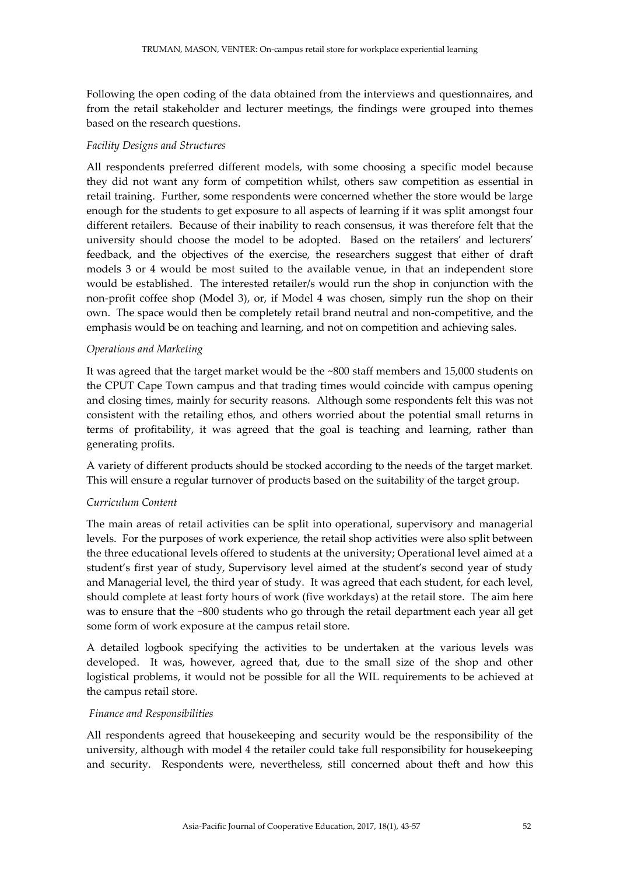Following the open coding of the data obtained from the interviews and questionnaires, and from the retail stakeholder and lecturer meetings, the findings were grouped into themes based on the research questions.

#### *Facility Designs and Structures*

All respondents preferred different models, with some choosing a specific model because they did not want any form of competition whilst, others saw competition as essential in retail training. Further, some respondents were concerned whether the store would be large enough for the students to get exposure to all aspects of learning if it was split amongst four different retailers. Because of their inability to reach consensus, it was therefore felt that the university should choose the model to be adopted. Based on the retailers' and lecturers' feedback, and the objectives of the exercise, the researchers suggest that either of draft models 3 or 4 would be most suited to the available venue, in that an independent store would be established. The interested retailer/s would run the shop in conjunction with the non-profit coffee shop (Model 3), or, if Model 4 was chosen, simply run the shop on their own. The space would then be completely retail brand neutral and non-competitive, and the emphasis would be on teaching and learning, and not on competition and achieving sales.

#### *Operations and Marketing*

It was agreed that the target market would be the ~800 staff members and 15,000 students on the CPUT Cape Town campus and that trading times would coincide with campus opening and closing times, mainly for security reasons. Although some respondents felt this was not consistent with the retailing ethos, and others worried about the potential small returns in terms of profitability, it was agreed that the goal is teaching and learning, rather than generating profits.

A variety of different products should be stocked according to the needs of the target market. This will ensure a regular turnover of products based on the suitability of the target group.

#### *Curriculum Content*

The main areas of retail activities can be split into operational, supervisory and managerial levels. For the purposes of work experience, the retail shop activities were also split between the three educational levels offered to students at the university; Operational level aimed at a student's first year of study, Supervisory level aimed at the student's second year of study and Managerial level, the third year of study. It was agreed that each student, for each level, should complete at least forty hours of work (five workdays) at the retail store. The aim here was to ensure that the ~800 students who go through the retail department each year all get some form of work exposure at the campus retail store.

A detailed logbook specifying the activities to be undertaken at the various levels was developed. It was, however, agreed that, due to the small size of the shop and other logistical problems, it would not be possible for all the WIL requirements to be achieved at the campus retail store.

#### *Finance and Responsibilities*

All respondents agreed that housekeeping and security would be the responsibility of the university, although with model 4 the retailer could take full responsibility for housekeeping and security. Respondents were, nevertheless, still concerned about theft and how this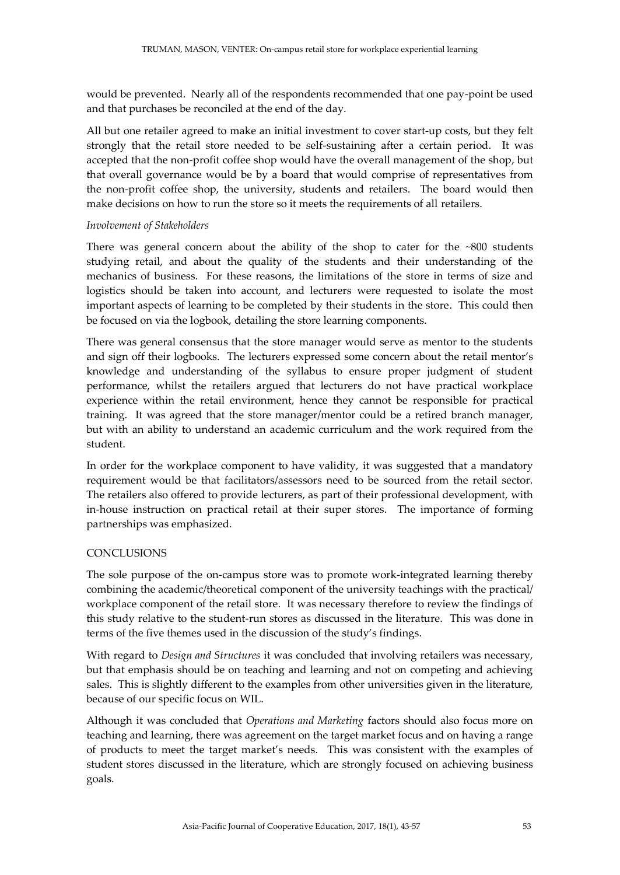would be prevented. Nearly all of the respondents recommended that one pay-point be used and that purchases be reconciled at the end of the day.

All but one retailer agreed to make an initial investment to cover start-up costs, but they felt strongly that the retail store needed to be self-sustaining after a certain period. It was accepted that the non-profit coffee shop would have the overall management of the shop, but that overall governance would be by a board that would comprise of representatives from the non-profit coffee shop, the university, students and retailers. The board would then make decisions on how to run the store so it meets the requirements of all retailers.

#### *Involvement of Stakeholders*

There was general concern about the ability of the shop to cater for the  $~800$  students studying retail, and about the quality of the students and their understanding of the mechanics of business. For these reasons, the limitations of the store in terms of size and logistics should be taken into account, and lecturers were requested to isolate the most important aspects of learning to be completed by their students in the store. This could then be focused on via the logbook, detailing the store learning components.

There was general consensus that the store manager would serve as mentor to the students and sign off their logbooks. The lecturers expressed some concern about the retail mentor's knowledge and understanding of the syllabus to ensure proper judgment of student performance, whilst the retailers argued that lecturers do not have practical workplace experience within the retail environment, hence they cannot be responsible for practical training. It was agreed that the store manager/mentor could be a retired branch manager, but with an ability to understand an academic curriculum and the work required from the student.

In order for the workplace component to have validity, it was suggested that a mandatory requirement would be that facilitators/assessors need to be sourced from the retail sector. The retailers also offered to provide lecturers, as part of their professional development, with in-house instruction on practical retail at their super stores. The importance of forming partnerships was emphasized.

### **CONCLUSIONS**

The sole purpose of the on-campus store was to promote work-integrated learning thereby combining the academic/theoretical component of the university teachings with the practical/ workplace component of the retail store. It was necessary therefore to review the findings of this study relative to the student-run stores as discussed in the literature. This was done in terms of the five themes used in the discussion of the study's findings.

With regard to *Design and Structures* it was concluded that involving retailers was necessary, but that emphasis should be on teaching and learning and not on competing and achieving sales. This is slightly different to the examples from other universities given in the literature, because of our specific focus on WIL.

Although it was concluded that *Operations and Marketing* factors should also focus more on teaching and learning, there was agreement on the target market focus and on having a range of products to meet the target market's needs. This was consistent with the examples of student stores discussed in the literature, which are strongly focused on achieving business goals.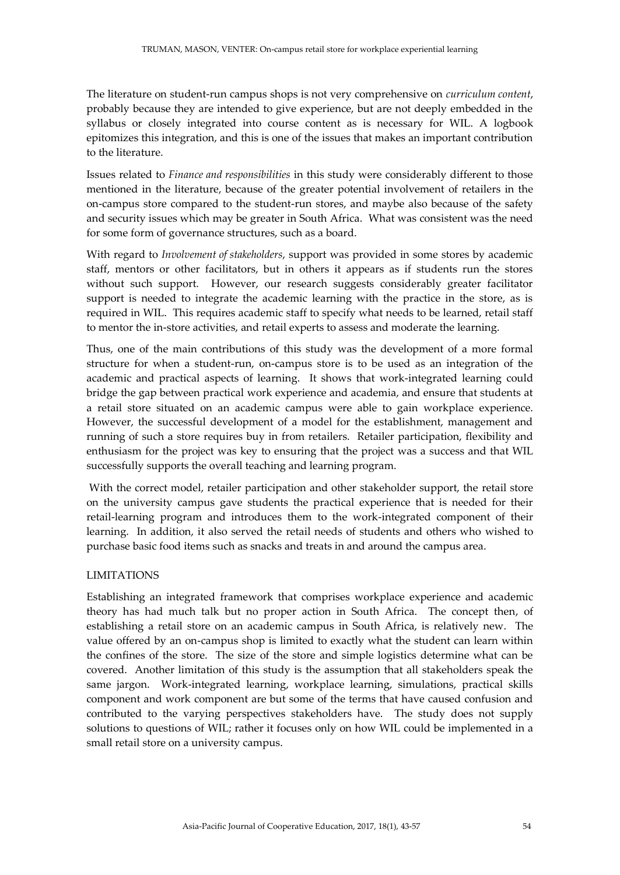The literature on student-run campus shops is not very comprehensive on *curriculum content*, probably because they are intended to give experience, but are not deeply embedded in the syllabus or closely integrated into course content as is necessary for WIL. A logbook epitomizes this integration, and this is one of the issues that makes an important contribution to the literature.

Issues related to *Finance and responsibilities* in this study were considerably different to those mentioned in the literature, because of the greater potential involvement of retailers in the on-campus store compared to the student-run stores, and maybe also because of the safety and security issues which may be greater in South Africa. What was consistent was the need for some form of governance structures, such as a board.

With regard to *Involvement of stakeholders*, support was provided in some stores by academic staff, mentors or other facilitators, but in others it appears as if students run the stores without such support. However, our research suggests considerably greater facilitator support is needed to integrate the academic learning with the practice in the store, as is required in WIL. This requires academic staff to specify what needs to be learned, retail staff to mentor the in-store activities, and retail experts to assess and moderate the learning.

Thus, one of the main contributions of this study was the development of a more formal structure for when a student-run, on-campus store is to be used as an integration of the academic and practical aspects of learning. It shows that work-integrated learning could bridge the gap between practical work experience and academia, and ensure that students at a retail store situated on an academic campus were able to gain workplace experience. However, the successful development of a model for the establishment, management and running of such a store requires buy in from retailers. Retailer participation, flexibility and enthusiasm for the project was key to ensuring that the project was a success and that WIL successfully supports the overall teaching and learning program.

With the correct model, retailer participation and other stakeholder support, the retail store on the university campus gave students the practical experience that is needed for their retail-learning program and introduces them to the work-integrated component of their learning. In addition, it also served the retail needs of students and others who wished to purchase basic food items such as snacks and treats in and around the campus area.

#### LIMITATIONS

Establishing an integrated framework that comprises workplace experience and academic theory has had much talk but no proper action in South Africa. The concept then, of establishing a retail store on an academic campus in South Africa, is relatively new. The value offered by an on-campus shop is limited to exactly what the student can learn within the confines of the store. The size of the store and simple logistics determine what can be covered. Another limitation of this study is the assumption that all stakeholders speak the same jargon. Work-integrated learning, workplace learning, simulations, practical skills component and work component are but some of the terms that have caused confusion and contributed to the varying perspectives stakeholders have. The study does not supply solutions to questions of WIL; rather it focuses only on how WIL could be implemented in a small retail store on a university campus.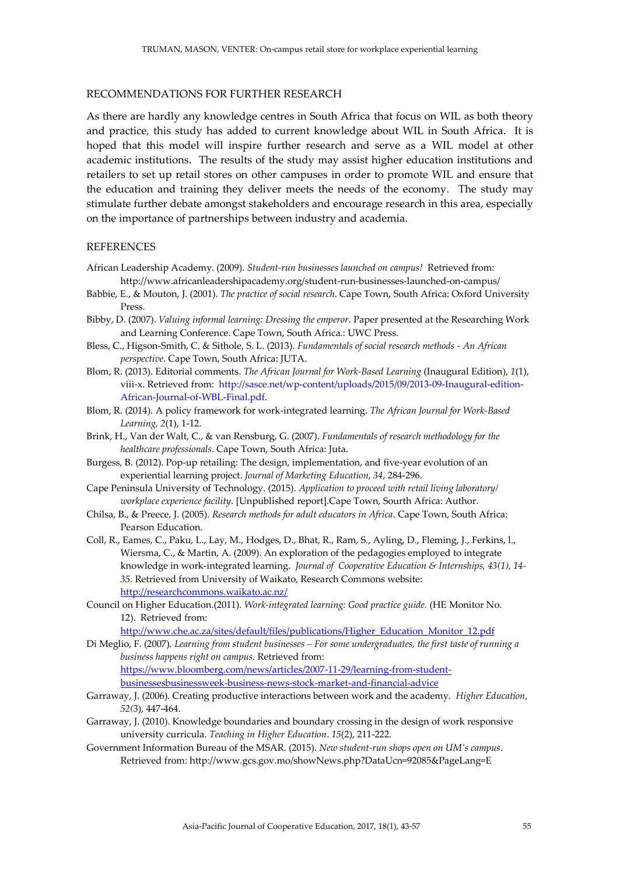#### RECOMMENDATIONS FOR FURTHER RESEARCH

As there are hardly any knowledge centres in South Africa that focus on WIL as both theory and practice, this study has added to current knowledge about WIL in South Africa. It is hoped that this model will inspire further research and serve as a WIL model at other academic institutions. The results of the study may assist higher education institutions and retailers to set up retail stores on other campuses in order to promote WIL and ensure that the education and training they deliver meets the needs of the economy. The study may stimulate further debate amongst stakeholders and encourage research in this area, especially on the importance of partnerships between industry and academia.

#### **REFERENCES**

- African Leadership Academy. (2009). *Student-run businesses launched on campus!* Retrieved from: http://www.africanleadershipacademy.org/student-run-businesses-launched-on-campus/
- Babbie, E., & Mouton, J. (2001). *The practice of social research*. Cape Town, South Africa: Oxford University Press.
- Bibby, D. (2007). *Valuing informal learning: Dressing the emperor*. Paper presented at the Researching Work and Learning Conference. Cape Town, South Africa.: UWC Press.
- Bless, C., Higson-Smith, C. & Sithole, S. L. (2013). *Fundamentals of social research methods - An African perspective*. Cape Town, South Africa: JUTA.
- Blom, R. (2013). Editorial comments. *The African Journal for Work-Based Learning* (Inaugural Edition), *1*(1), viii-x. Retrieved from: [http://sasce.net/wp-content/uploads/2015/09/2013-09-Inaugural-edition-](http://sasce.net/wp-content/uploads/2015/09/2013-09-Inaugural-edition-African-Journal-of-WBL-Final.pdf)[African-Journal-of-WBL-Final.pdf.](http://sasce.net/wp-content/uploads/2015/09/2013-09-Inaugural-edition-African-Journal-of-WBL-Final.pdf)
- Blom, R. (2014). A policy framework for work-integrated learning. *The African Journal for Work-Based Learning, 2*(1), 1-12.
- Brink, H., Van der Walt, C., & van Rensburg, G. (2007). *Fundamentals of research methodology for the healthcare professionals*. Cape Town, South Africa: Juta.
- Burgess, B. (2012). Pop-up retailing: The design, implementation, and five-year evolution of an experiential learning project. *Journal of Marketing Education*, *34*, 284-296.
- Cape Peninsula University of Technology. (2015). *Application to proceed with retail living laboratory/ workplace experience facility*. [Unpublished report].Cape Town, Sourth Africa: Author.
- Chilsa, B., & Preece, J. (2005). *Research methods for adult educators in Africa*. Cape Town, South Africa: Pearson Education.
- Coll, R., Eames, C., Paku, L., Lay, M., Hodges, D., Bhat, R., Ram, S., Ayling, D., Fleming, J., Ferkins, l., Wiersma, C., & Martin, A. (2009). An exploration of the pedagogies employed to integrate knowledge in work-integrated learning. *Journal of Cooperative Education & Internships, 43(1), 14‐ 35.* Retrieved from University of Waikato, Research Commons website: <http://researchcommons.waikato.ac.nz/>
- Council on Higher Education.(2011). *Work-integrated learning: Good practice guide.* (HE Monitor No. 12). Retrieved from:

[http://www.che.ac.za/sites/default/files/publications/Higher\\_Education\\_Monitor\\_12.pdf](http://www.che.ac.za/sites/default/files/publications/Higher_Education_Monitor_12.pdf)

Di Meglio, F. (2007). *Learning from student businesses – For some undergraduates, the first taste of running a business happens right on campus.* Retrieved from: [https://www.bloomberg.com/news/articles/2007-11-29/learning-from-student-](https://www.bloomberg.com/news/articles/2007-11-29/learning-from-student-businessesbusinessweek-business-news-stock-market-and-financial-advice)

[businessesbusinessweek-business-news-stock-market-and-financial-advice](https://www.bloomberg.com/news/articles/2007-11-29/learning-from-student-businessesbusinessweek-business-news-stock-market-and-financial-advice)

- Garraway, J. (2006). Creating productive interactions between work and the academy. *Higher Education*, *52(*3), 447-464.
- Garraway, J. (2010). Knowledge boundaries and boundary crossing in the design of work responsive university curricula. *Teaching in Higher Education*. *15*(2), 211-222.
- Government Information Bureau of the MSAR. (2015). *New student-run shops open on UM's campus*. Retrieved from: http://www.gcs.gov.mo/showNews.php?DataUcn=92085&PageLang=E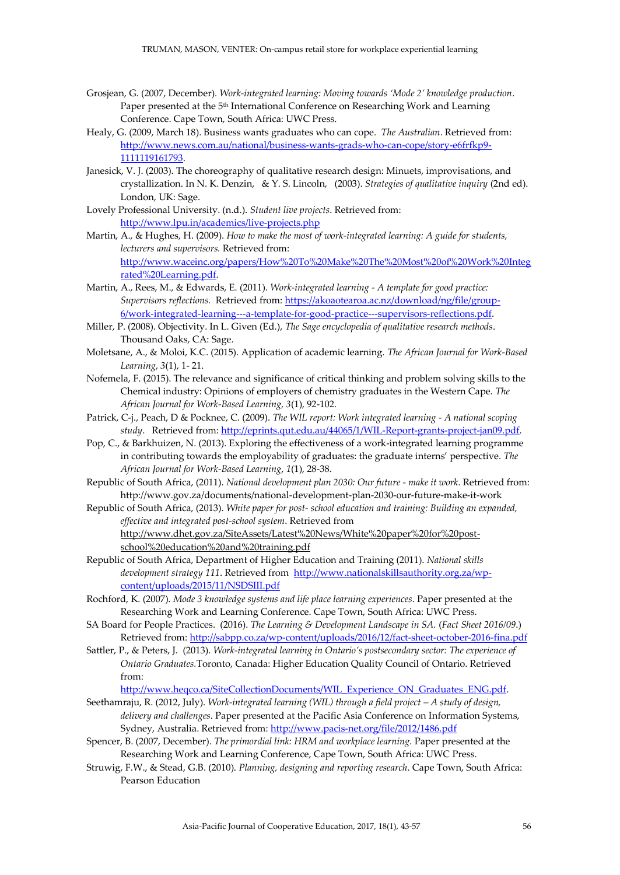- Grosjean, G. (2007, December). *Work-integrated learning: Moving towards 'Mode 2' knowledge production*. Paper presented at the 5<sup>th</sup> International Conference on Researching Work and Learning Conference. Cape Town, South Africa: UWC Press.
- Healy, G. (2009, March 18). Business wants graduates who can cope. *The Australian*. Retrieved from: [http://www.news.com.au/national/business-wants-grads-who-can-cope/story-e6frfkp9-](http://www.news.com.au/national/business-wants-grads-who-can-cope/story-e6frfkp9-1111119161793) [1111119161793.](http://www.news.com.au/national/business-wants-grads-who-can-cope/story-e6frfkp9-1111119161793)
- Janesick, V. J. (2003). The choreography of qualitative research design: Minuets, improvisations, and crystallization. In N. K. Denzin, & Y. S. Lincoln, (2003). *Strategies of qualitative inquiry* (2nd ed). London, UK: Sage.
- Lovely Professional University. (n.d.). *Student live projects*. Retrieved from: <http://www.lpu.in/academics/live-projects.php>
- Martin, A., & Hughes, H. (2009). *How to make the most of work-integrated learning: A guide for students, lecturers and supervisors.* Retrieved from: [http://www.waceinc.org/papers/How%20To%20Make%20The%20Most%20of%20Work%20Integ](http://www.waceinc.org/papers/How%20To%20Make%20The%20Most%20of%20Work%20Integrated%20Learning.pdf) [rated%20Learning.pdf.](http://www.waceinc.org/papers/How%20To%20Make%20The%20Most%20of%20Work%20Integrated%20Learning.pdf)
- Martin, A., Rees, M., & Edwards, E. (2011). *Work-integrated learning - A template for good practice: Supervisors reflections.* Retrieved from[: https://akoaotearoa.ac.nz/download/ng/file/group-](https://akoaotearoa.ac.nz/download/ng/file/group-6/work-integrated-learning---a-template-for-good-practice---supervisors-reflections.pdf)[6/work-integrated-learning---a-template-for-good-practice---supervisors-reflections.pdf.](https://akoaotearoa.ac.nz/download/ng/file/group-6/work-integrated-learning---a-template-for-good-practice---supervisors-reflections.pdf)
- Miller, P. (2008). Objectivity. In L. Given (Ed.), *The Sage encyclopedia of qualitative research methods*. Thousand Oaks, CA: Sage.
- Moletsane, A., & Moloi, K.C. (2015). Application of academic learning. *The African Journal for Work-Based Learning*, *3*(1), 1- 21.
- Nofemela, F. (2015). The relevance and significance of critical thinking and problem solving skills to the Chemical industry: Opinions of employers of chemistry graduates in the Western Cape. *The African Journal for Work-Based Learning, 3*(1), 92-102.
- Patrick, C-j., Peach, D & Pocknee, C. (2009). *The WIL report: Work integrated learning - A national scoping study*. Retrieved from[: http://eprints.qut.edu.au/44065/1/WIL-Report-grants-project-jan09.pdf.](http://eprints.qut.edu.au/44065/1/WIL-Report-grants-project-jan09.pdf)
- Pop, C., & Barkhuizen, N. (2013). Exploring the effectiveness of a work-integrated learning programme in contributing towards the employability of graduates: the graduate interns' perspective. *The African Journal for Work-Based Learning*, *1*(1), 28-38.
- Republic of South Africa, (2011). *National development plan 2030: Our future - make it work*. Retrieved from: <http://www.gov.za/documents/national-development-plan-2030-our-future-make-it-work>
- Republic of South Africa, (2013). *White paper for post- school education and training: Building an expanded, effective and integrated post-school system*. Retrieved from [http://www.dhet.gov.za/SiteAssets/Latest%20News/White%20paper%20for%20post](http://www.dhet.gov.za/SiteAssets/Latest%20News/White%20paper%20for%20post-school%20education%20and%20training.pdf)[school%20education%20and%20training.pdf](http://www.dhet.gov.za/SiteAssets/Latest%20News/White%20paper%20for%20post-school%20education%20and%20training.pdf)
- Republic of South Africa, Department of Higher Education and Training (2011). *National skills development strategy 111*. Retrieved from [http://www.nationalskillsauthority.org.za/wp](http://www.nationalskillsauthority.org.za/wp-content/uploads/2015/11/NSDSIII.pdf)[content/uploads/2015/11/NSDSIII.pdf](http://www.nationalskillsauthority.org.za/wp-content/uploads/2015/11/NSDSIII.pdf)
- Rochford, K. (2007). *Mode 3 knowledge systems and life place learning experiences*. Paper presented at the Researching Work and Learning Conference. Cape Town, South Africa: UWC Press.
- SA Board for People Practices. (2016). *The Learning & Development Landscape in SA.* (*Fact Sheet 2016/09*.) Retrieved from:<http://sabpp.co.za/wp-content/uploads/2016/12/fact-sheet-october-2016-fina.pdf>
- Sattler, P., & Peters, J. (2013). *Work-integrated learning in Ontario's postsecondary sector: The experience of Ontario Graduates.*Toronto, Canada: Higher Education Quality Council of Ontario. Retrieved from:

[http://www.heqco.ca/SiteCollectionDocuments/WIL\\_Experience\\_ON\\_Graduates\\_ENG.pdf.](http://www.heqco.ca/SiteCollectionDocuments/WIL_Experience_ON_Graduates_ENG.pdf)

- Seethamraju, R. (2012, July). *Work-integrated learning (WIL) through a field project A study of design, delivery and challenges*. Paper presented at the Pacific Asia Conference on Information Systems, Sydney, Australia. Retrieved from[: http://www.pacis-net.org/file/2012/1486.pdf](http://www.pacis-net.org/file/2012/1486.pdf)
- Spencer, B. (2007, December). *The primordial link: HRM and workplace learning.* Paper presented at the Researching Work and Learning Conference, Cape Town, South Africa: UWC Press.
- Struwig, F.W., & Stead, G.B. (2010). *Planning, designing and reporting research*. Cape Town, South Africa: Pearson Education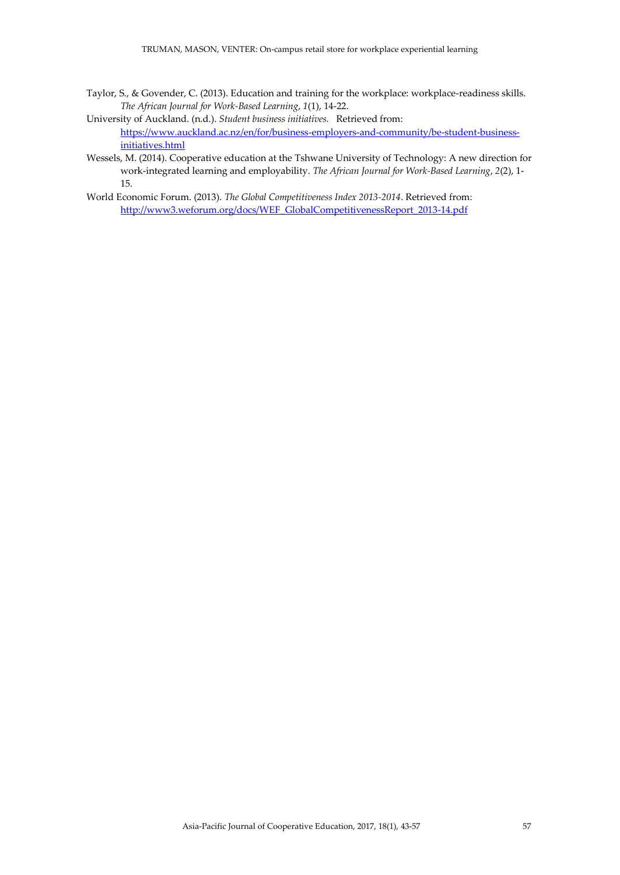- Taylor, S., & Govender, C. (2013). Education and training for the workplace: workplace-readiness skills. *The African Journal for Work-Based Learning*, *1*(1), 14-22.
- University of Auckland. (n.d.). *Student business initiatives.* Retrieved from: [https://www.auckland.ac.nz/en/for/business-employers-and-community/be-student-business](https://www.auckland.ac.nz/en/for/business-employers-and-community/be-student-business-initiatives.html)[initiatives.html](https://www.auckland.ac.nz/en/for/business-employers-and-community/be-student-business-initiatives.html)
- Wessels, M. (2014). Cooperative education at the Tshwane University of Technology: A new direction for work-integrated learning and employability. *The African Journal for Work-Based Learning*, *2*(2), 1- 15.
- World Economic Forum. (2013). *The Global Competitiveness Index 2013-2014*. Retrieved from: [http://www3.weforum.org/docs/WEF\\_GlobalCompetitivenessReport\\_2013-14.pdf](http://www3.weforum.org/docs/WEF_GlobalCompetitivenessReport_2013-14.pdf%20on%20November%2010)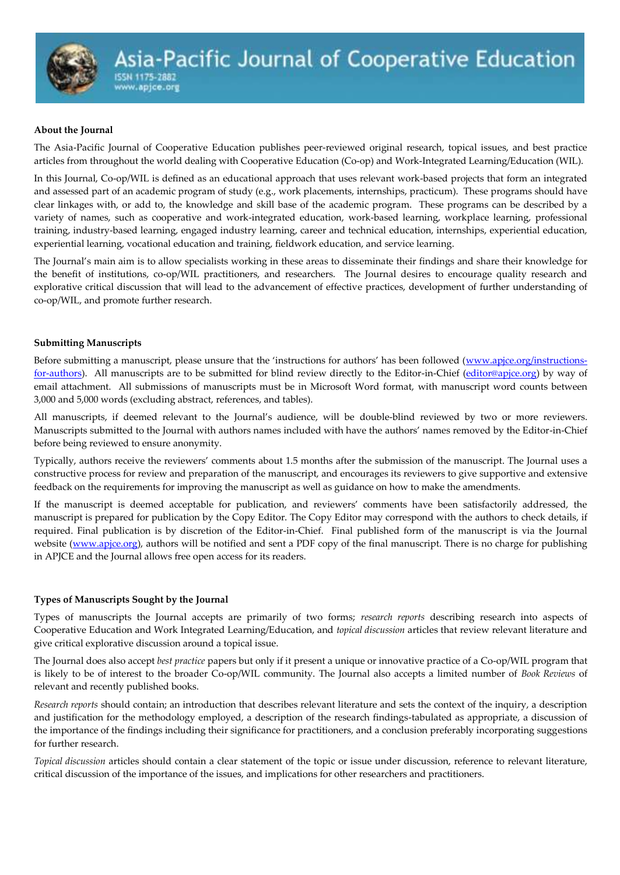#### **About the Journal**

The Asia-Pacific Journal of Cooperative Education publishes peer-reviewed original research, topical issues, and best practice articles from throughout the world dealing with Cooperative Education (Co-op) and Work-Integrated Learning/Education (WIL).

In this Journal, Co-op/WIL is defined as an educational approach that uses relevant work-based projects that form an integrated and assessed part of an academic program of study (e.g., work placements, internships, practicum). These programs should have clear linkages with, or add to, the knowledge and skill base of the academic program. These programs can be described by a variety of names, such as cooperative and work-integrated education, work-based learning, workplace learning, professional training, industry-based learning, engaged industry learning, career and technical education, internships, experiential education, experiential learning, vocational education and training, fieldwork education, and service learning.

The Journal's main aim is to allow specialists working in these areas to disseminate their findings and share their knowledge for the benefit of institutions, co-op/WIL practitioners, and researchers. The Journal desires to encourage quality research and explorative critical discussion that will lead to the advancement of effective practices, development of further understanding of co-op/WIL, and promote further research.

#### **Submitting Manuscripts**

Before submitting a manuscript, please unsure that the 'instructions for authors' has been followed ([www.apjce.org/instructions](http://www.apjce.org/instructions-for-authors)[for-authors\)](http://www.apjce.org/instructions-for-authors). All manuscripts are to be submitted for blind review directly to the Editor-in-Chief [\(editor@apjce.org\)](mailto:editor@apjce.org) by way of email attachment. All submissions of manuscripts must be in Microsoft Word format, with manuscript word counts between 3,000 and 5,000 words (excluding abstract, references, and tables).

All manuscripts, if deemed relevant to the Journal's audience, will be double-blind reviewed by two or more reviewers. Manuscripts submitted to the Journal with authors names included with have the authors' names removed by the Editor-in-Chief before being reviewed to ensure anonymity.

Typically, authors receive the reviewers' comments about 1.5 months after the submission of the manuscript. The Journal uses a constructive process for review and preparation of the manuscript, and encourages its reviewers to give supportive and extensive feedback on the requirements for improving the manuscript as well as guidance on how to make the amendments.

If the manuscript is deemed acceptable for publication, and reviewers' comments have been satisfactorily addressed, the manuscript is prepared for publication by the Copy Editor. The Copy Editor may correspond with the authors to check details, if required. Final publication is by discretion of the Editor-in-Chief. Final published form of the manuscript is via the Journal website [\(www.apjce.org\)](http://www.apjce.org/), authors will be notified and sent a PDF copy of the final manuscript. There is no charge for publishing in APJCE and the Journal allows free open access for its readers.

#### **Types of Manuscripts Sought by the Journal**

Types of manuscripts the Journal accepts are primarily of two forms; *research reports* describing research into aspects of Cooperative Education and Work Integrated Learning/Education, and *topical discussion* articles that review relevant literature and give critical explorative discussion around a topical issue.

The Journal does also accept *best practice* papers but only if it present a unique or innovative practice of a Co-op/WIL program that is likely to be of interest to the broader Co-op/WIL community. The Journal also accepts a limited number of *Book Reviews* of relevant and recently published books.

*Research reports* should contain; an introduction that describes relevant literature and sets the context of the inquiry, a description and justification for the methodology employed, a description of the research findings-tabulated as appropriate, a discussion of the importance of the findings including their significance for practitioners, and a conclusion preferably incorporating suggestions for further research.

*Topical discussion* articles should contain a clear statement of the topic or issue under discussion, reference to relevant literature, critical discussion of the importance of the issues, and implications for other researchers and practitioners.